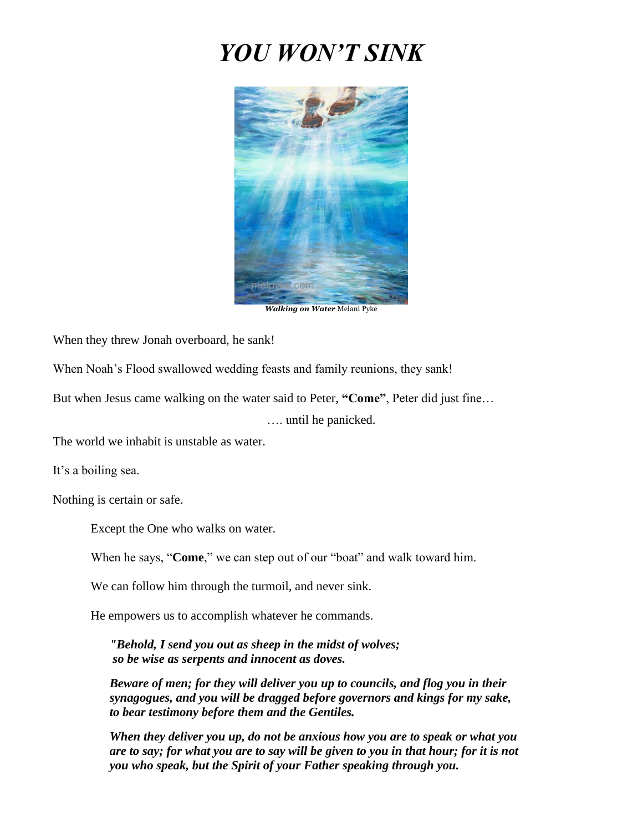## *YOU WON'T SINK*



When they threw Jonah overboard, he sank!

When Noah's Flood swallowed wedding feasts and family reunions, they sank!

But when Jesus came walking on the water said to Peter, **"Come"**, Peter did just fine…

…. until he panicked.

The world we inhabit is unstable as water.

It's a boiling sea.

Nothing is certain or safe.

Except the One who walks on water.

When he says, "**Come**," we can step out of our "boat" and walk toward him.

We can follow him through the turmoil, and never sink.

He empowers us to accomplish whatever he commands.

*"Behold, I send you out as sheep in the midst of wolves; so be wise as serpents and innocent as doves.* 

*Beware of men; for they will deliver you up to councils, and flog you in their synagogues, and you will be dragged before governors and kings for my sake, to bear testimony before them and the Gentiles.*

*When they deliver you up, do not be anxious how you are to speak or what you are to say; for what you are to say will be given to you in that hour; for it is not you who speak, but the Spirit of your Father speaking through you.*